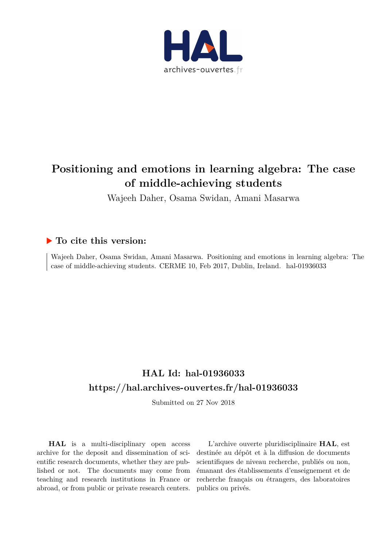

# **Positioning and emotions in learning algebra: The case of middle-achieving students**

Wajeeh Daher, Osama Swidan, Amani Masarwa

## **To cite this version:**

Wajeeh Daher, Osama Swidan, Amani Masarwa. Positioning and emotions in learning algebra: The case of middle-achieving students. CERME 10, Feb 2017, Dublin, Ireland. hal-01936033

## **HAL Id: hal-01936033 <https://hal.archives-ouvertes.fr/hal-01936033>**

Submitted on 27 Nov 2018

**HAL** is a multi-disciplinary open access archive for the deposit and dissemination of scientific research documents, whether they are published or not. The documents may come from teaching and research institutions in France or abroad, or from public or private research centers.

L'archive ouverte pluridisciplinaire **HAL**, est destinée au dépôt et à la diffusion de documents scientifiques de niveau recherche, publiés ou non, émanant des établissements d'enseignement et de recherche français ou étrangers, des laboratoires publics ou privés.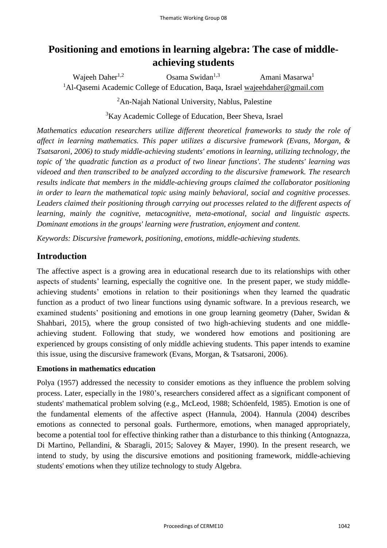## **Positioning and emotions in learning algebra: The case of middleachieving students**

Wajeeh Daher<sup>1,2</sup> Osama Swidan<sup>1,3</sup> Amani Masarwa<sup>1</sup> <sup>1</sup>Al-Qasemi Academic College of Education, Baqa, Israel wajeehdaher@gmail.com <sup>2</sup>An-Najah National University, Nablus, Palestine

<sup>3</sup>Kay Academic College of Education, Beer Sheva, Israel

*Mathematics education researchers utilize different theoretical frameworks to study the role of affect in learning mathematics. This paper utilizes a discursive framework (Evans, Morgan, & Tsatsaroni, 2006) to study middle-achieving students' emotions in learning, utilizing technology, the topic of 'the quadratic function as a product of two linear functions'. The students' learning was videoed and then transcribed to be analyzed according to the discursive framework. The research results indicate that members in the middle-achieving groups claimed the collaborator positioning in order to learn the mathematical topic using mainly behavioral, social and cognitive processes. Leaders claimed their positioning through carrying out processes related to the different aspects of learning, mainly the cognitive, metacognitive, meta-emotional, social and linguistic aspects. Dominant emotions in the groups' learning were frustration, enjoyment and content.* 

*Keywords: Discursive framework, positioning, emotions, middle-achieving students.*

## **Introduction**

The affective aspect is a growing area in educational research due to its relationships with other aspects of students' learning, especially the cognitive one. In the present paper, we study middleachieving students' emotions in relation to their positionings when they learned the quadratic function as a product of two linear functions using dynamic software. In a previous research, we examined students' positioning and emotions in one group learning geometry (Daher, Swidan & Shahbari, 2015), where the group consisted of two high-achieving students and one middleachieving student. Following that study, we wondered how emotions and positioning are experienced by groups consisting of only middle achieving students. This paper intends to examine this issue, using the discursive framework (Evans, Morgan, & Tsatsaroni, 2006).

#### **Emotions in mathematics education**

Polya (1957) addressed the necessity to consider emotions as they influence the problem solving process. Later, especially in the 1980's, researchers considered affect as a significant component of students' mathematical problem solving (e.g., McLeod, 1988; Schöenfeld, 1985). Emotion is one of the fundamental elements of the affective aspect (Hannula, 2004). Hannula (2004) describes emotions as connected to personal goals. Furthermore, emotions, when managed appropriately, become a potential tool for effective thinking rather than a disturbance to this thinking (Antognazza, Di Martino, Pellandini, & Sbaragli, 2015; Salovey & Mayer, 1990). In the present research, we intend to study, by using the discursive emotions and positioning framework, middle-achieving students' emotions when they utilize technology to study Algebra.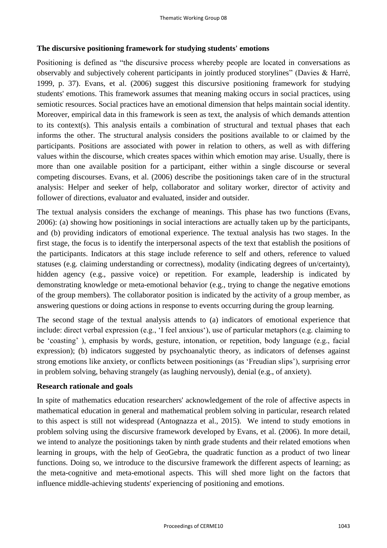#### **The discursive positioning framework for studying students' emotions**

Positioning is defined as "the discursive process whereby people are located in conversations as observably and subjectively coherent participants in jointly produced storylines" (Davies & Harré, 1999, p. 37). Evans, et al. (2006) suggest this discursive positioning framework for studying students' emotions. This framework assumes that meaning making occurs in social practices, using semiotic resources. Social practices have an emotional dimension that helps maintain social identity. Moreover, empirical data in this framework is seen as text, the analysis of which demands attention to its context(s). This analysis entails a combination of structural and textual phases that each informs the other. The structural analysis considers the positions available to or claimed by the participants. Positions are associated with power in relation to others, as well as with differing values within the discourse, which creates spaces within which emotion may arise. Usually, there is more than one available position for a participant, either within a single discourse or several competing discourses. Evans, et al. (2006) describe the positionings taken care of in the structural analysis: Helper and seeker of help, collaborator and solitary worker, director of activity and follower of directions, evaluator and evaluated, insider and outsider.

The textual analysis considers the exchange of meanings. This phase has two functions (Evans, 2006): (a) showing how positionings in social interactions are actually taken up by the participants, and (b) providing indicators of emotional experience. The textual analysis has two stages. In the first stage, the focus is to identify the interpersonal aspects of the text that establish the positions of the participants. Indicators at this stage include reference to self and others, reference to valued statuses (e.g. claiming understanding or correctness), modality (indicating degrees of un/certainty), hidden agency (e.g., passive voice) or repetition. For example, leadership is indicated by demonstrating knowledge or meta-emotional behavior (e.g., trying to change the negative emotions of the group members). The collaborator position is indicated by the activity of a group member, as answering questions or doing actions in response to events occurring during the group learning.

The second stage of the textual analysis attends to (a) indicators of emotional experience that include: direct verbal expression (e.g., 'I feel anxious'), use of particular metaphors (e.g. claiming to be 'coasting' ), emphasis by words, gesture, intonation, or repetition, body language (e.g., facial expression); (b) indicators suggested by psychoanalytic theory, as indicators of defenses against strong emotions like anxiety, or conflicts between positionings (as 'Freudian slips'), surprising error in problem solving, behaving strangely (as laughing nervously), denial (e.g., of anxiety).

#### **Research rationale and goals**

In spite of mathematics education researchers' acknowledgement of the role of affective aspects in mathematical education in general and mathematical problem solving in particular, research related to this aspect is still not widespread (Antognazza et al., 2015). We intend to study emotions in problem solving using the discursive framework developed by Evans, et al. (2006). In more detail, we intend to analyze the positionings taken by ninth grade students and their related emotions when learning in groups, with the help of GeoGebra, the quadratic function as a product of two linear functions. Doing so, we introduce to the discursive framework the different aspects of learning; as the meta-cognitive and meta-emotional aspects. This will shed more light on the factors that influence middle-achieving students' experiencing of positioning and emotions.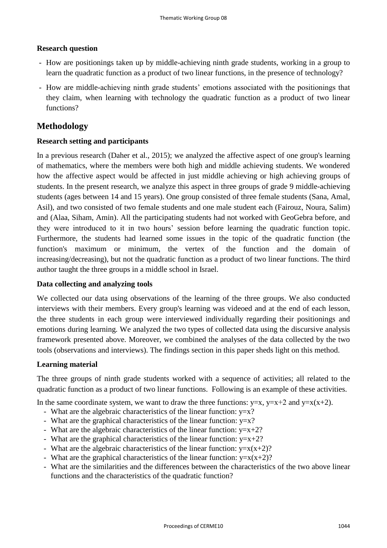#### **Research question**

- How are positionings taken up by middle-achieving ninth grade students, working in a group to learn the quadratic function as a product of two linear functions, in the presence of technology?
- How are middle-achieving ninth grade students' emotions associated with the positionings that they claim, when learning with technology the quadratic function as a product of two linear functions?

## **Methodology**

#### **Research setting and participants**

In a previous research (Daher et al., 2015); we analyzed the affective aspect of one group's learning of mathematics, where the members were both high and middle achieving students. We wondered how the affective aspect would be affected in just middle achieving or high achieving groups of students. In the present research, we analyze this aspect in three groups of grade 9 middle-achieving students (ages between 14 and 15 years). One group consisted of three female students (Sana, Amal, Asil), and two consisted of two female students and one male student each (Fairouz, Noura, Salim) and (Alaa, Siham, Amin). All the participating students had not worked with GeoGebra before, and they were introduced to it in two hours' session before learning the quadratic function topic. Furthermore, the students had learned some issues in the topic of the quadratic function (the function's maximum or minimum, the vertex of the function and the domain of increasing/decreasing), but not the quadratic function as a product of two linear functions. The third author taught the three groups in a middle school in Israel.

#### **Data collecting and analyzing tools**

We collected our data using observations of the learning of the three groups. We also conducted interviews with their members. Every group's learning was videoed and at the end of each lesson, the three students in each group were interviewed individually regarding their positionings and emotions during learning. We analyzed the two types of collected data using the discursive analysis framework presented above. Moreover, we combined the analyses of the data collected by the two tools (observations and interviews). The findings section in this paper sheds light on this method.

#### **Learning material**

The three groups of ninth grade students worked with a sequence of activities; all related to the quadratic function as a product of two linear functions. Following is an example of these activities.

In the same coordinate system, we want to draw the three functions:  $y=x$ ,  $y=x+2$  and  $y=x(x+2)$ .

- What are the algebraic characteristics of the linear function:  $y=x$ ?
- What are the graphical characteristics of the linear function:  $y=x$ ?
- What are the algebraic characteristics of the linear function:  $y=x+2$ ?
- What are the graphical characteristics of the linear function:  $y=x+2$ ?
- What are the algebraic characteristics of the linear function:  $y=x(x+2)$ ?
- What are the graphical characteristics of the linear function:  $y=x(x+2)$ ?
- What are the similarities and the differences between the characteristics of the two above linear functions and the characteristics of the quadratic function?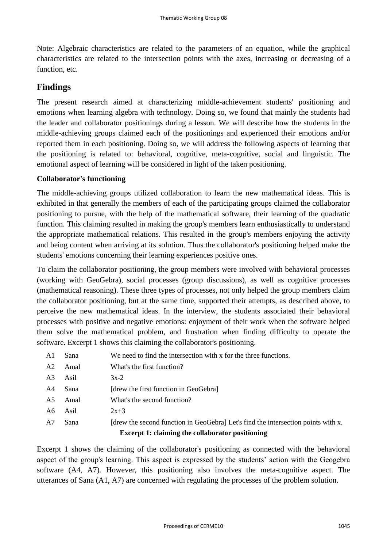Note: Algebraic characteristics are related to the parameters of an equation, while the graphical characteristics are related to the intersection points with the axes, increasing or decreasing of a function, etc.

## **Findings**

The present research aimed at characterizing middle-achievement students' positioning and emotions when learning algebra with technology. Doing so, we found that mainly the students had the leader and collaborator positionings during a lesson. We will describe how the students in the middle-achieving groups claimed each of the positionings and experienced their emotions and/or reported them in each positioning. Doing so, we will address the following aspects of learning that the positioning is related to: behavioral, cognitive, meta-cognitive, social and linguistic. The emotional aspect of learning will be considered in light of the taken positioning.

#### **Collaborator's functioning**

The middle-achieving groups utilized collaboration to learn the new mathematical ideas. This is exhibited in that generally the members of each of the participating groups claimed the collaborator positioning to pursue, with the help of the mathematical software, their learning of the quadratic function. This claiming resulted in making the group's members learn enthusiastically to understand the appropriate mathematical relations. This resulted in the group's members enjoying the activity and being content when arriving at its solution. Thus the collaborator's positioning helped make the students' emotions concerning their learning experiences positive ones.

To claim the collaborator positioning, the group members were involved with behavioral processes (working with GeoGebra), social processes (group discussions), as well as cognitive processes (mathematical reasoning). These three types of processes, not only helped the group members claim the collaborator positioning, but at the same time, supported their attempts, as described above, to perceive the new mathematical ideas. In the interview, the students associated their behavioral processes with positive and negative emotions: enjoyment of their work when the software helped them solve the mathematical problem, and frustration when finding difficulty to operate the software. Excerpt 1 shows this claiming the collaborator's positioning.

| A <sub>1</sub> | Sana | We need to find the intersection with x for the three functions.                  |
|----------------|------|-----------------------------------------------------------------------------------|
| A <sub>2</sub> | Amal | What's the first function?                                                        |
| A <sub>3</sub> | Asil | $3x-2$                                                                            |
| A4             | Sana | [drew the first function in GeoGebra]                                             |
| A5             | Amal | What's the second function?                                                       |
| A6             | Asil | $2x+3$                                                                            |
| A7             | Sana | [drew the second function in GeoGebra] Let's find the intersection points with x. |
|                |      | <b>Excerpt 1: claiming the collaborator positioning</b>                           |

Excerpt 1 shows the claiming of the collaborator's positioning as connected with the behavioral aspect of the group's learning. This aspect is expressed by the students' action with the Geogebra software (A4, A7). However, this positioning also involves the meta-cognitive aspect. The utterances of Sana (A1, A7) are concerned with regulating the processes of the problem solution.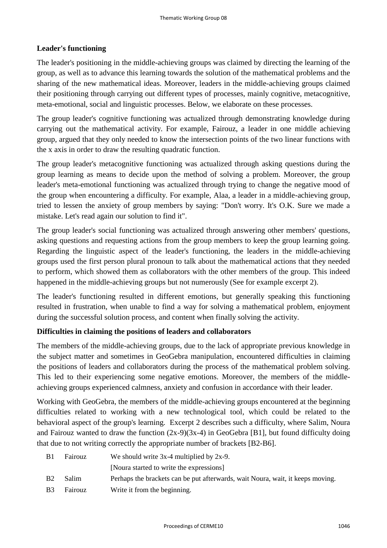#### **Leader's functioning**

The leader's positioning in the middle-achieving groups was claimed by directing the learning of the group, as well as to advance this learning towards the solution of the mathematical problems and the sharing of the new mathematical ideas. Moreover, leaders in the middle-achieving groups claimed their positioning through carrying out different types of processes, mainly cognitive, metacognitive, meta-emotional, social and linguistic processes. Below, we elaborate on these processes.

The group leader's cognitive functioning was actualized through demonstrating knowledge during carrying out the mathematical activity. For example, Fairouz, a leader in one middle achieving group, argued that they only needed to know the intersection points of the two linear functions with the x axis in order to draw the resulting quadratic function.

The group leader's metacognitive functioning was actualized through asking questions during the group learning as means to decide upon the method of solving a problem. Moreover, the group leader's meta-emotional functioning was actualized through trying to change the negative mood of the group when encountering a difficulty. For example, Alaa, a leader in a middle-achieving group, tried to lessen the anxiety of group members by saying: "Don't worry. It's O.K. Sure we made a mistake. Let's read again our solution to find it".

The group leader's social functioning was actualized through answering other members' questions, asking questions and requesting actions from the group members to keep the group learning going. Regarding the linguistic aspect of the leader's functioning, the leaders in the middle-achieving groups used the first person plural pronoun to talk about the mathematical actions that they needed to perform, which showed them as collaborators with the other members of the group. This indeed happened in the middle-achieving groups but not numerously (See for example excerpt 2).

The leader's functioning resulted in different emotions, but generally speaking this functioning resulted in frustration, when unable to find a way for solving a mathematical problem, enjoyment during the successful solution process, and content when finally solving the activity.

#### **Difficulties in claiming the positions of leaders and collaborators**

The members of the middle-achieving groups, due to the lack of appropriate previous knowledge in the subject matter and sometimes in GeoGebra manipulation, encountered difficulties in claiming the positions of leaders and collaborators during the process of the mathematical problem solving. This led to their experiencing some negative emotions. Moreover, the members of the middleachieving groups experienced calmness, anxiety and confusion in accordance with their leader.

Working with GeoGebra, the members of the middle-achieving groups encountered at the beginning difficulties related to working with a new technological tool, which could be related to the behavioral aspect of the group's learning. Excerpt 2 describes such a difficulty, where Salim, Noura and Fairouz wanted to draw the function  $(2x-9)(3x-4)$  in GeoGebra [B1], but found difficulty doing that due to not writing correctly the appropriate number of brackets [B2-B6].

| B1                    | Fairouz      | We should write $3x-4$ multiplied by $2x-9$ .                                  |
|-----------------------|--------------|--------------------------------------------------------------------------------|
|                       |              | [Noura started to write the expressions]                                       |
| <b>B2</b>             | <b>Salim</b> | Perhaps the brackets can be put afterwards, wait Noura, wait, it keeps moving. |
| <b>B</b> <sub>3</sub> | Fairouz      | Write it from the beginning.                                                   |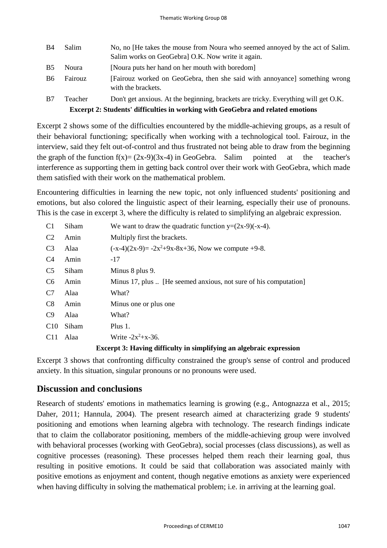| <b>B</b> 4                                                                             | Salim   | No, no [He takes the mouse from Noura who seemed annoyed by the act of Salim.<br>Salim works on GeoGebral O.K. Now write it again. |  |  |
|----------------------------------------------------------------------------------------|---------|------------------------------------------------------------------------------------------------------------------------------------|--|--|
| <b>B5</b>                                                                              | Noura   | [Noura puts her hand on her mouth with boredom]                                                                                    |  |  |
| <b>B6</b>                                                                              | Fairouz | [Fairouz worked on GeoGebra, then she said with annoyance] something wrong<br>with the brackets.                                   |  |  |
| <b>B7</b>                                                                              | Teacher | Don't get anxious. At the beginning, brackets are tricky. Everything will get O.K.                                                 |  |  |
| <b>Excerpt 2: Students' difficulties in working with GeoGebra and related emotions</b> |         |                                                                                                                                    |  |  |

Excerpt 2 shows some of the difficulties encountered by the middle-achieving groups, as a result of their behavioral functioning; specifically when working with a technological tool. Fairouz, in the interview, said they felt out-of-control and thus frustrated not being able to draw from the beginning the graph of the function  $f(x)=(2x-9)(3x-4)$  in GeoGebra. Salim pointed at the teacher's interference as supporting them in getting back control over their work with GeoGebra, which made them satisfied with their work on the mathematical problem.

Encountering difficulties in learning the new topic, not only influenced students' positioning and emotions, but also colored the linguistic aspect of their learning, especially their use of pronouns. This is the case in excerpt 3, where the difficulty is related to simplifying an algebraic expression.

| C <sub>1</sub>  | Siham | We want to draw the quadratic function $y=(2x-9)(-x-4)$ .        |
|-----------------|-------|------------------------------------------------------------------|
| C <sub>2</sub>  | Amin  | Multiply first the brackets.                                     |
| C <sub>3</sub>  | Alaa  | $(-x-4)(2x-9) = -2x^2+9x-8x+36$ , Now we compute +9-8.           |
| C <sub>4</sub>  | Amin  | $-17$                                                            |
| C <sub>5</sub>  | Siham | Minus 8 plus 9.                                                  |
| C6              | Amin  | Minus 17, plus  [He seemed anxious, not sure of his computation] |
| C7              | Alaa  | What?                                                            |
| C8              | Amin  | Minus one or plus one                                            |
| C9              | Alaa  | What?                                                            |
| C <sub>10</sub> | Siham | Plus 1.                                                          |
| C <sub>11</sub> | Alaa  | Write $-2x^2+x-36$ .                                             |
|                 |       |                                                                  |

#### **Excerpt 3: Having difficulty in simplifying an algebraic expression**

Excerpt 3 shows that confronting difficulty constrained the group's sense of control and produced anxiety. In this situation, singular pronouns or no pronouns were used.

### **Discussion and conclusions**

Research of students' emotions in mathematics learning is growing (e.g., Antognazza et al., 2015; Daher, 2011; Hannula, 2004). The present research aimed at characterizing grade 9 students' positioning and emotions when learning algebra with technology. The research findings indicate that to claim the collaborator positioning, members of the middle-achieving group were involved with behavioral processes (working with GeoGebra), social processes (class discussions), as well as cognitive processes (reasoning). These processes helped them reach their learning goal, thus resulting in positive emotions. It could be said that collaboration was associated mainly with positive emotions as enjoyment and content, though negative emotions as anxiety were experienced when having difficulty in solving the mathematical problem; i.e. in arriving at the learning goal.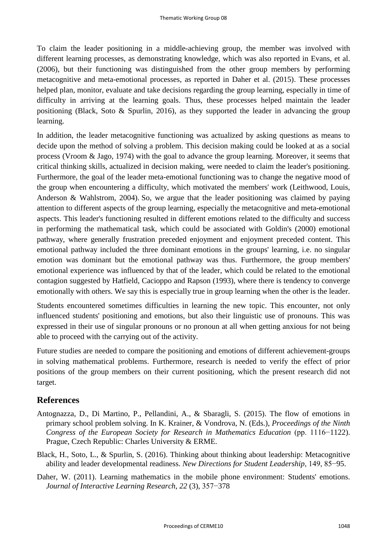To claim the leader positioning in a middle-achieving group, the member was involved with different learning processes, as demonstrating knowledge, which was also reported in Evans, et al. (2006), but their functioning was distinguished from the other group members by performing metacognitive and meta-emotional processes, as reported in Daher et al. (2015). These processes helped plan, monitor, evaluate and take decisions regarding the group learning, especially in time of difficulty in arriving at the learning goals. Thus, these processes helped maintain the leader positioning (Black, Soto & Spurlin, 2016), as they supported the leader in advancing the group learning.

In addition, the leader metacognitive functioning was actualized by asking questions as means to decide upon the method of solving a problem. This decision making could be looked at as a social process (Vroom & Jago, 1974) with the goal to advance the group learning. Moreover, it seems that critical thinking skills, actualized in decision making, were needed to claim the leader's positioning. Furthermore, the goal of the leader meta-emotional functioning was to change the negative mood of the group when encountering a difficulty, which motivated the members' work (Leithwood, Louis, Anderson & Wahlstrom, 2004). So, we argue that the leader positioning was claimed by paying attention to different aspects of the group learning, especially the metacognitive and meta-emotional aspects. This leader's functioning resulted in different emotions related to the difficulty and success in performing the mathematical task, which could be associated with Goldin's (2000) emotional pathway, where generally frustration preceded enjoyment and enjoyment preceded content. This emotional pathway included the three dominant emotions in the groups' learning, i.e. no singular emotion was dominant but the emotional pathway was thus. Furthermore, the group members' emotional experience was influenced by that of the leader, which could be related to the emotional contagion suggested by Hatfield, Cacioppo and Rapson (1993), where there is tendency to converge emotionally with others. We say this is especially true in group learning when the other is the leader.

Students encountered sometimes difficulties in learning the new topic. This encounter, not only influenced students' positioning and emotions, but also their linguistic use of pronouns. This was expressed in their use of singular pronouns or no pronoun at all when getting anxious for not being able to proceed with the carrying out of the activity.

Future studies are needed to compare the positioning and emotions of different achievement-groups in solving mathematical problems. Furthermore, research is needed to verify the effect of prior positions of the group members on their current positioning, which the present research did not target.

### **References**

- Antognazza, D., Di Martino, P., Pellandini, A., & Sbaragli, S. (2015). The flow of emotions in primary school problem solving. In K. Krainer, & Vondrova, N. (Eds.), *Proceedings of the Ninth Congress of the European Society for Research in Mathematics Education* (pp. 1116−1122). Prague, Czech Republic: Charles University & ERME.
- Black, H., Soto, L., & Spurlin, S. (2016). Thinking about thinking about leadership: Metacognitive ability and leader developmental readiness. *New Directions for Student Leadership*, 149, 85−95.
- Daher, W. (2011). Learning mathematics in the mobile phone environment: Students' emotions. *Journal of Interactive Learning Research*, *22* (3), 357−378